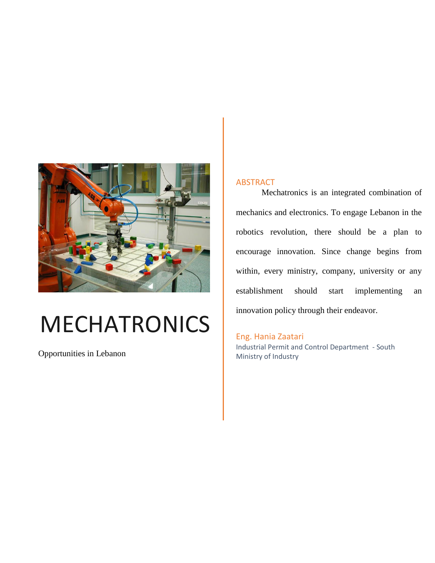<span id="page-0-0"></span>

# MECHATRONICS

Opportunities in Lebanon

#### ABSTRACT

Mechatronics is an integrated combination of mechanics and electronics. To engage Lebanon in the robotics revolution, there should be a plan to encourage innovation. Since change begins from within, every ministry, company, university or any establishment should start implementing an innovation policy through their endeavor.

Eng. Hania Zaatari Industrial Permit and Control Department - South Ministry of Industry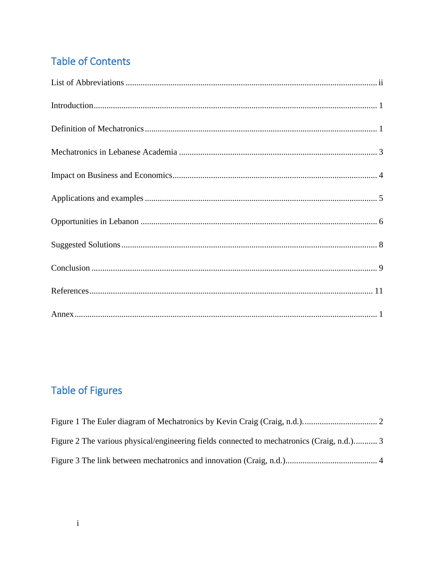## **Table of Contents**

## **Table of Figures**

| Figure 2 The various physical/engineering fields connected to mechatronics (Craig, n.d.) 3 |  |
|--------------------------------------------------------------------------------------------|--|
|                                                                                            |  |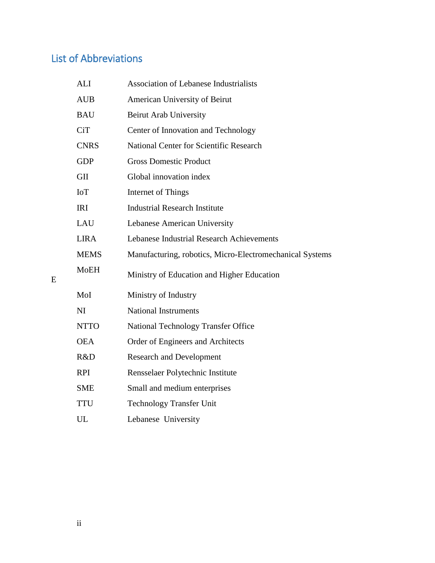## <span id="page-2-0"></span>List of Abbreviations

| <b>ALI</b>  | <b>Association of Lebanese Industrialists</b>            |
|-------------|----------------------------------------------------------|
| <b>AUB</b>  | American University of Beirut                            |
| <b>BAU</b>  | Beirut Arab University                                   |
| <b>CiT</b>  | Center of Innovation and Technology                      |
| <b>CNRS</b> | <b>National Center for Scientific Research</b>           |
| <b>GDP</b>  | <b>Gross Domestic Product</b>                            |
| <b>GII</b>  | Global innovation index                                  |
| IoT         | Internet of Things                                       |
| <b>IRI</b>  | <b>Industrial Research Institute</b>                     |
| LAU         | Lebanese American University                             |
| <b>LIRA</b> | Lebanese Industrial Research Achievements                |
| <b>MEMS</b> | Manufacturing, robotics, Micro-Electromechanical Systems |
| <b>MoEH</b> | Ministry of Education and Higher Education               |
| MoI         | Ministry of Industry                                     |
| NI          | <b>National Instruments</b>                              |
| <b>NTTO</b> | National Technology Transfer Office                      |
| <b>OEA</b>  | Order of Engineers and Architects                        |
| R&D         | <b>Research and Development</b>                          |
| <b>RPI</b>  | Rensselaer Polytechnic Institute                         |
| <b>SME</b>  | Small and medium enterprises                             |
| <b>TTU</b>  | <b>Technology Transfer Unit</b>                          |
| UL          | Lebanese University                                      |

<span id="page-2-1"></span>E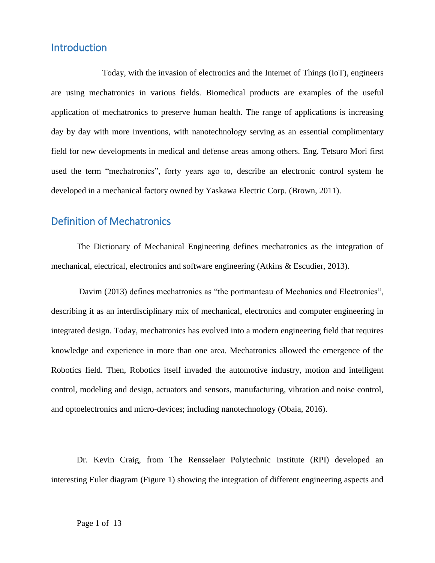#### **Introduction**

Today, with the invasion of electronics and the Internet of Things (IoT), engineers are using mechatronics in various fields. Biomedical products are examples of the useful application of mechatronics to preserve human health. The range of applications is increasing day by day with more inventions, with nanotechnology serving as an essential complimentary field for new developments in medical and defense areas among others. Eng. Tetsuro Mori first used the term "mechatronics", forty years ago to, describe an electronic control system he developed in a mechanical factory owned by Yaskawa Electric Corp. (Brown, 2011).

#### <span id="page-3-0"></span>Definition of Mechatronics

The Dictionary of Mechanical Engineering defines mechatronics as the integration of mechanical, electrical, electronics and software engineering (Atkins & Escudier, 2013).

Davim (2013) defines mechatronics as "the portmanteau of Mechanics and Electronics", describing it as an interdisciplinary mix of mechanical, electronics and computer engineering in integrated design. Today, mechatronics has evolved into a modern engineering field that requires knowledge and experience in more than one area. Mechatronics allowed the emergence of the Robotics field. Then, Robotics itself invaded the automotive industry, motion and intelligent control, modeling and design, actuators and sensors, manufacturing, vibration and noise control, and optoelectronics and micro-devices; including nanotechnology (Obaia, 2016).

Dr. Kevin Craig, from The Rensselaer Polytechnic Institute (RPI) developed an interesting Euler diagram [\(Figure 1\)](#page-4-0) showing the integration of different engineering aspects and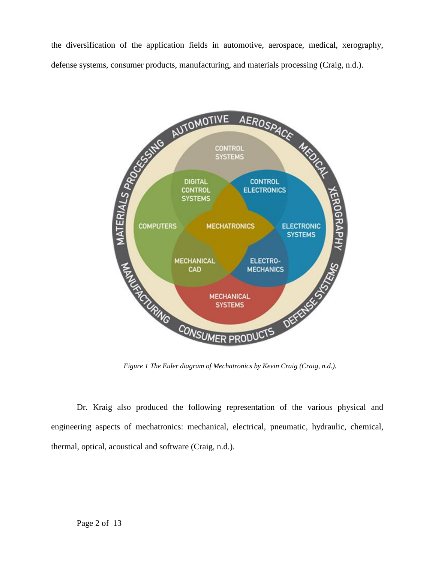the diversification of the application fields in automotive, aerospace, medical, xerography,



*Figure 1 The Euler diagram of Mechatronics by Kevin Craig (Craig, n.d.).*

<span id="page-4-0"></span>Dr. Kraig also produced the following representation of the various physical and engineering aspects of mechatronics: mechanical, electrical, pneumatic, hydraulic, chemical, thermal, optical, acoustical and software (Craig, n.d.).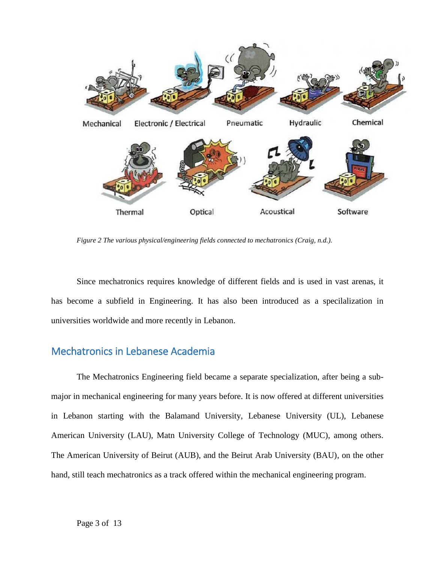

<span id="page-5-1"></span>*Figure 2 The various physical/engineering fields connected to mechatronics (Craig, n.d.).*

Since mechatronics requires knowledge of different fields and is used in vast arenas, it has become a subfield in Engineering. It has also been introduced as a specilalization in universities worldwide and more recently in Lebanon.

#### <span id="page-5-0"></span>Mechatronics in Lebanese Academia

The Mechatronics Engineering field became a separate specialization, after being a submajor in mechanical engineering for many years before. It is now offered at different universities in Lebanon starting with the Balamand University, Lebanese University (UL), Lebanese American University (LAU), Matn University College of Technology (MUC), among others. The American University of Beirut (AUB), and the Beirut Arab University (BAU), on the other hand, still teach mechatronics as a track offered within the mechanical engineering program.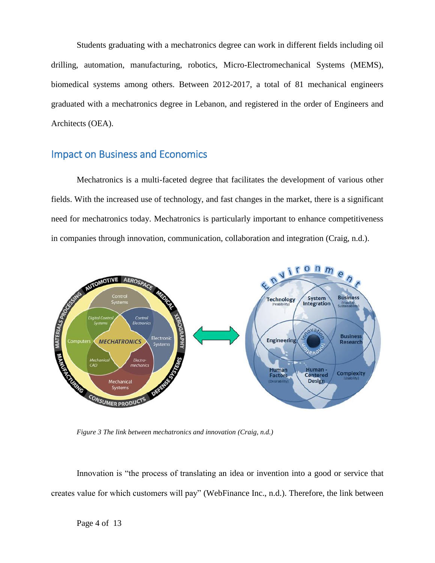Students graduating with a mechatronics degree can work in different fields including oil drilling, automation, manufacturing, robotics, Micro-Electromechanical Systems (MEMS), biomedical systems among others. Between 2012-2017, a total of 81 mechanical engineers graduated with a mechatronics degree in Lebanon, and registered in the order of Engineers and Architects (OEA).

#### <span id="page-6-0"></span>Impact on Business and Economics

Mechatronics is a multi-faceted degree that facilitates the development of various other fields. With the increased use of technology, and fast changes in the market, there is a significant need for mechatronics today. Mechatronics is particularly important to enhance competitiveness in companies through innovation, communication, collaboration and integration (Craig, n.d.).



<span id="page-6-1"></span>*Figure 3 The link between mechatronics and innovation (Craig, n.d.)*

Innovation is "the process of translating an idea or invention into a good or service that creates value for which customers will pay" (WebFinance Inc., n.d.). Therefore, the link between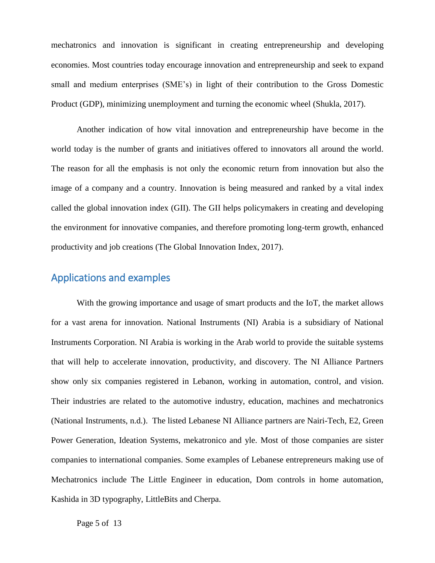mechatronics and innovation is significant in creating entrepreneurship and developing economies. Most countries today encourage innovation and entrepreneurship and seek to expand small and medium enterprises (SME's) in light of their contribution to the Gross Domestic Product (GDP), minimizing unemployment and turning the economic wheel (Shukla, 2017).

Another indication of how vital innovation and entrepreneurship have become in the world today is the number of grants and initiatives offered to innovators all around the world. The reason for all the emphasis is not only the economic return from innovation but also the image of a company and a country. Innovation is being measured and ranked by a vital index called the global innovation index (GII). The GII helps policymakers in creating and developing the environment for innovative companies, and therefore promoting long-term growth, enhanced productivity and job creations (The Global Innovation Index, 2017).

#### <span id="page-7-0"></span>Applications and examples

With the growing importance and usage of smart products and the IoT, the market allows for a vast arena for innovation. National Instruments (NI) Arabia is a subsidiary of National Instruments Corporation. NI Arabia is working in the Arab world to provide the suitable systems that will help to accelerate innovation, productivity, and discovery. The NI Alliance Partners show only six companies registered in Lebanon, working in automation, control, and vision. Their industries are related to the automotive industry, education, machines and mechatronics (National Instruments, n.d.). The listed Lebanese NI Alliance partners are Nairi-Tech, E2, Green Power Generation, Ideation Systems, mekatronico and yle. Most of those companies are sister companies to international companies. Some examples of Lebanese entrepreneurs making use of Mechatronics include The Little Engineer in education, Dom controls in home automation, Kashida in 3D typography, LittleBits and Cherpa.

Page 5 of 13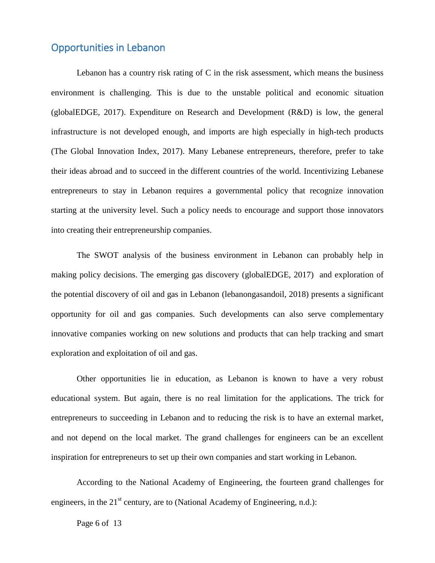#### <span id="page-8-0"></span>Opportunities in Lebanon

Lebanon has a country risk rating of  $C$  in the risk assessment, which means the business environment is challenging. This is due to the unstable political and economic situation (globalEDGE, 2017). Expenditure on Research and Development (R&D) is low, the general infrastructure is not developed enough, and imports are high especially in high-tech products (The Global Innovation Index, 2017). Many Lebanese entrepreneurs, therefore, prefer to take their ideas abroad and to succeed in the different countries of the world. Incentivizing Lebanese entrepreneurs to stay in Lebanon requires a governmental policy that recognize innovation starting at the university level. Such a policy needs to encourage and support those innovators into creating their entrepreneurship companies.

The SWOT analysis of the business environment in Lebanon can probably help in making policy decisions. The emerging gas discovery (globalEDGE, 2017) and exploration of the potential discovery of oil and gas in Lebanon (lebanongasandoil, 2018) presents a significant opportunity for oil and gas companies. Such developments can also serve complementary innovative companies working on new solutions and products that can help tracking and smart exploration and exploitation of oil and gas.

Other opportunities lie in education, as Lebanon is known to have a very robust educational system. But again, there is no real limitation for the applications. The trick for entrepreneurs to succeeding in Lebanon and to reducing the risk is to have an external market, and not depend on the local market. The grand challenges for engineers can be an excellent inspiration for entrepreneurs to set up their own companies and start working in Lebanon.

According to the National Academy of Engineering, the fourteen grand challenges for engineers, in the  $21<sup>st</sup>$  century, are to (National Academy of Engineering, n.d.):

Page 6 of 13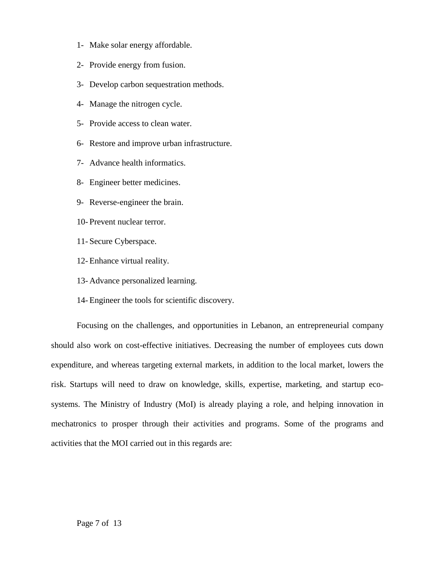- 1- Make solar energy affordable.
- 2- Provide energy from fusion.
- 3- Develop carbon sequestration methods.
- 4- Manage the nitrogen cycle.
- 5- Provide access to clean water.
- 6- Restore and improve urban infrastructure.
- 7- Advance health informatics.
- 8- Engineer better medicines.
- 9- Reverse-engineer the brain.
- 10- Prevent nuclear terror.
- 11- Secure Cyberspace.
- 12- Enhance virtual reality.
- 13- Advance personalized learning.
- 14- Engineer the tools for scientific discovery.

Focusing on the challenges, and opportunities in Lebanon, an entrepreneurial company should also work on cost-effective initiatives. Decreasing the number of employees cuts down expenditure, and whereas targeting external markets, in addition to the local market, lowers the risk. Startups will need to draw on knowledge, skills, expertise, marketing, and startup ecosystems. The Ministry of Industry (MoI) is already playing a role, and helping innovation in mechatronics to prosper through their activities and programs. Some of the programs and activities that the MOI carried out in this regards are: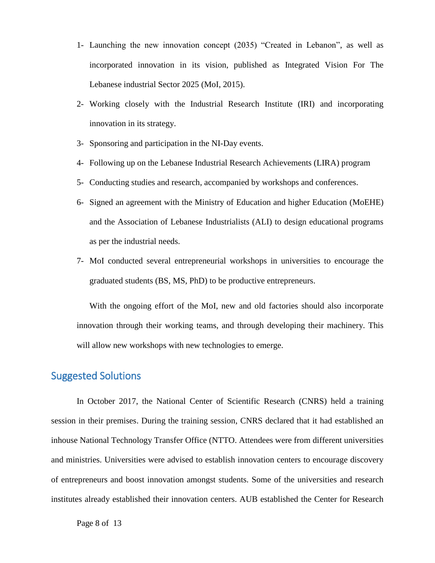- 1- Launching the new innovation concept (2035) "Created in Lebanon", as well as incorporated innovation in its vision, published as Integrated Vision For The Lebanese industrial Sector 2025 (MoI, 2015).
- 2- Working closely with the Industrial Research Institute (IRI) and incorporating innovation in its strategy.
- 3- Sponsoring and participation in the NI-Day events.
- 4- Following up on the Lebanese Industrial Research Achievements (LIRA) program
- 5- Conducting studies and research, accompanied by workshops and conferences.
- 6- Signed an agreement with the Ministry of Education and higher Education (MoEHE) and the Association of Lebanese Industrialists (ALI) to design educational programs as per the industrial needs.
- 7- MoI conducted several entrepreneurial workshops in universities to encourage the graduated students (BS, MS, PhD) to be productive entrepreneurs.

With the ongoing effort of the MoI, new and old factories should also incorporate innovation through their working teams, and through developing their machinery. This will allow new workshops with new technologies to emerge.

#### <span id="page-10-0"></span>Suggested Solutions

In October 2017, the National Center of Scientific Research (CNRS) held a training session in their premises. During the training session, CNRS declared that it had established an inhouse National Technology Transfer Office (NTTO. Attendees were from different universities and ministries. Universities were advised to establish innovation centers to encourage discovery of entrepreneurs and boost innovation amongst students. Some of the universities and research institutes already established their innovation centers. AUB established the Center for Research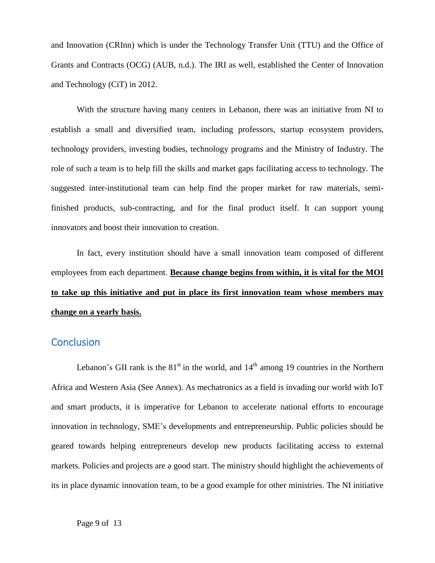and Innovation (CRInn) which is under the Technology Transfer Unit (TTU) and the Office of Grants and Contracts (OCG) (AUB, n.d.). The IRI as well, established the Center of Innovation and Technology (CiT) in 2012.

With the structure having many centers in Lebanon, there was an initiative from NI to establish a small and diversified team, including professors, startup ecosystem providers, technology providers, investing bodies, technology programs and the Ministry of Industry. The role of such a team is to help fill the skills and market gaps facilitating access to technology. The suggested inter-institutional team can help find the proper market for raw materials, semifinished products, sub-contracting, and for the final product itself. It can support young innovators and boost their innovation to creation.

In fact, every institution should have a small innovation team composed of different employees from each department. **Because change begins from within, it is vital for the MOI to take up this initiative and put in place its first innovation team whose members may change on a yearly basis.** 

#### <span id="page-11-0"></span>**Conclusion**

Lebanon's GII rank is the  $81<sup>st</sup>$  in the world, and  $14<sup>th</sup>$  among 19 countries in the Northern Africa and Western Asia (See [Annex\)](#page-15-0). As mechatronics as a field is invading our world with IoT and smart products, it is imperative for Lebanon to accelerate national efforts to encourage innovation in technology, SME's developments and entrepreneurship. Public policies should be geared towards helping entrepreneurs develop new products facilitating access to external markets. Policies and projects are a good start. The ministry should highlight the achievements of its in place dynamic innovation team, to be a good example for other ministries. The NI initiative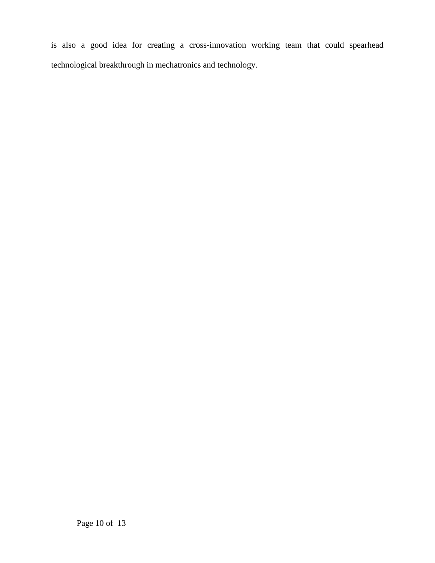is also a good idea for creating a cross-innovation working team that could spearhead technological breakthrough in mechatronics and technology.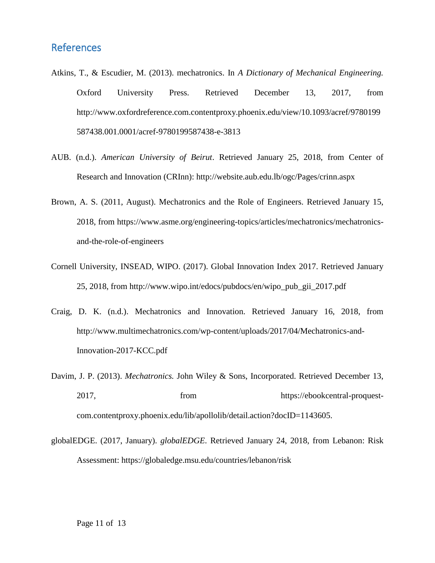#### <span id="page-13-0"></span>References

- Atkins, T., & Escudier, M. (2013). mechatronics. In *A Dictionary of Mechanical Engineering.* Oxford University Press. Retrieved December 13, 2017, from http://www.oxfordreference.com.contentproxy.phoenix.edu/view/10.1093/acref/9780199 587438.001.0001/acref-9780199587438-e-3813
- AUB. (n.d.). *American University of Beirut*. Retrieved January 25, 2018, from Center of Research and Innovation (CRInn): http://website.aub.edu.lb/ogc/Pages/crinn.aspx
- Brown, A. S. (2011, August). Mechatronics and the Role of Engineers. Retrieved January 15, 2018, from https://www.asme.org/engineering-topics/articles/mechatronics/mechatronicsand-the-role-of-engineers
- Cornell University, INSEAD, WIPO. (2017). Global Innovation Index 2017. Retrieved January 25, 2018, from http://www.wipo.int/edocs/pubdocs/en/wipo\_pub\_gii\_2017.pdf
- Craig, D. K. (n.d.). Mechatronics and Innovation. Retrieved January 16, 2018, from http://www.multimechatronics.com/wp-content/uploads/2017/04/Mechatronics-and-Innovation-2017-KCC.pdf
- Davim, J. P. (2013). *Mechatronics.* John Wiley & Sons, Incorporated. Retrieved December 13, 2017, from from https://ebookcentral-proquestcom.contentproxy.phoenix.edu/lib/apollolib/detail.action?docID=1143605.
- globalEDGE. (2017, January). *globalEDGE*. Retrieved January 24, 2018, from Lebanon: Risk Assessment: https://globaledge.msu.edu/countries/lebanon/risk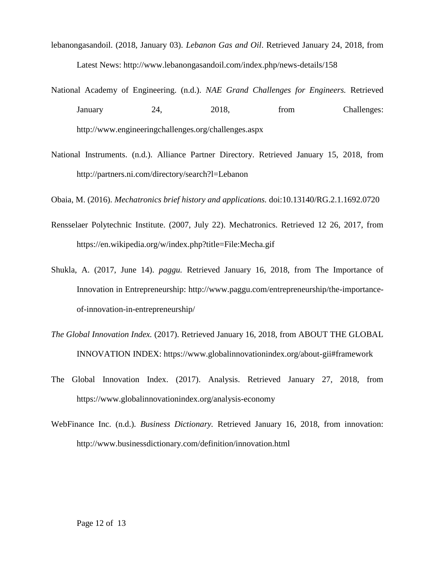- lebanongasandoil. (2018, January 03). *Lebanon Gas and Oil*. Retrieved January 24, 2018, from Latest News: http://www.lebanongasandoil.com/index.php/news-details/158
- National Academy of Engineering. (n.d.). *NAE Grand Challenges for Engineers.* Retrieved January 24, 2018, from Challenges: http://www.engineeringchallenges.org/challenges.aspx
- National Instruments. (n.d.). Alliance Partner Directory. Retrieved January 15, 2018, from http://partners.ni.com/directory/search?l=Lebanon

Obaia, M. (2016). *Mechatronics brief history and applications.* doi:10.13140/RG.2.1.1692.0720

- Rensselaer Polytechnic Institute. (2007, July 22). Mechatronics. Retrieved 12 26, 2017, from https://en.wikipedia.org/w/index.php?title=File:Mecha.gif
- Shukla, A. (2017, June 14). *paggu.* Retrieved January 16, 2018, from The Importance of Innovation in Entrepreneurship: http://www.paggu.com/entrepreneurship/the-importanceof-innovation-in-entrepreneurship/
- *The Global Innovation Index.* (2017). Retrieved January 16, 2018, from ABOUT THE GLOBAL INNOVATION INDEX: https://www.globalinnovationindex.org/about-gii#framework
- The Global Innovation Index. (2017). Analysis. Retrieved January 27, 2018, from https://www.globalinnovationindex.org/analysis-economy
- WebFinance Inc. (n.d.). *Business Dictionary.* Retrieved January 16, 2018, from innovation: http://www.businessdictionary.com/definition/innovation.html